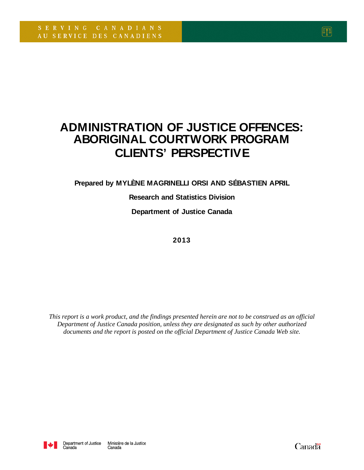# **ADMINISTRATION OF JUSTICE OFFENCES: ABORIGINAL COURTWORK PROGRAM CLIENTS' PERSPECTIVE**

**Prepared by MYLÈNE MAGRINELLI ORSI AND SÉBASTIEN APRIL**

**Research and Statistics Division**

**Department of Justice Canada**

**2013**

*This report is a work product, and the findings presented herein are not to be construed as an official Department of Justice Canada position, unless they are designated as such by other authorized documents and the report is posted on the official Department of Justice Canada Web site.* 

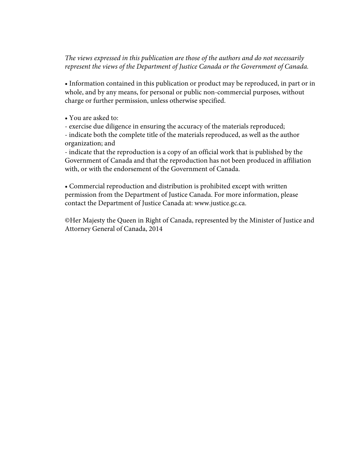## *The views expressed in this publication are those of the authors and do not necessarily represent the views of the Department of Justice Canada or the Government of Canada.*

• Information contained in this publication or product may be reproduced, in part or in whole, and by any means, for personal or public non-commercial purposes, without charge or further permission, unless otherwise specified.

• You are asked to:

- exercise due diligence in ensuring the accuracy of the materials reproduced;

- indicate both the complete title of the materials reproduced, as well as the author organization; and

- indicate that the reproduction is a copy of an official work that is published by the Government of Canada and that the reproduction has not been produced in affiliation with, or with the endorsement of the Government of Canada.

• Commercial reproduction and distribution is prohibited except with written permission from the Department of Justice Canada. For more information, please contact the Department of Justice Canada at: www.justice.gc.ca.

©Her Majesty the Queen in Right of Canada, represented by the Minister of Justice and Attorney General of Canada, 2014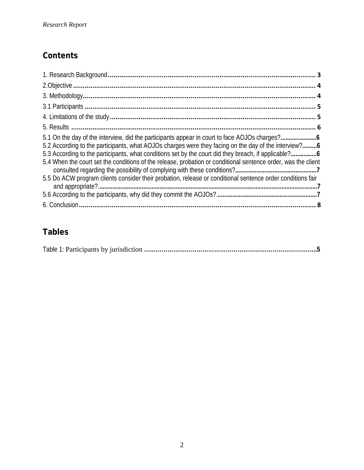## **Contents**

| 5.2 According to the participants, what AOJOs charges were they facing on the day of the interview?6<br>5.3 According to the participants, what conditions set by the court did they breach, if applicable?6<br>5.4 When the court set the conditions of the release, probation or conditional sentence order, was the client<br>5.5 Do ACW program clients consider their probation, release or conditional sentence order conditions fair |  |
|---------------------------------------------------------------------------------------------------------------------------------------------------------------------------------------------------------------------------------------------------------------------------------------------------------------------------------------------------------------------------------------------------------------------------------------------|--|
|                                                                                                                                                                                                                                                                                                                                                                                                                                             |  |

## **Tables**

<span id="page-2-0"></span>

|--|--|--|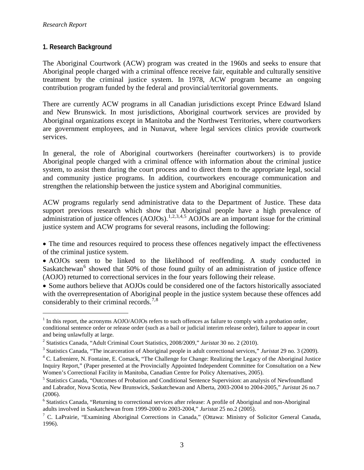## **1. Research Background**

The Aboriginal Courtwork (ACW) program was created in the 1960s and seeks to ensure that Aboriginal people charged with a criminal offence receive fair, equitable and culturally sensitive treatment by the criminal justice system. In 1978, ACW program became an ongoing contribution program funded by the federal and provincial/territorial governments.

There are currently ACW programs in all Canadian jurisdictions except Prince Edward Island and New Brunswick. In most jurisdictions, Aboriginal courtwork services are provided by Aboriginal organizations except in Manitoba and the Northwest Territories, where courtworkers are government employees, and in Nunavut, where legal services clinics provide courtwork services.

In general, the role of Aboriginal courtworkers (hereinafter courtworkers) is to provide Aboriginal people charged with a criminal offence with information about the criminal justice system, to assist them during the court process and to direct them to the appropriate legal, social and community justice programs. In addition, courtworkers encourage communication and strengthen the relationship between the justice system and Aboriginal communities.

ACW programs regularly send administrative data to the Department of Justice. These data support previous research which show that Aboriginal people have a high prevalence of administration of justice offences (AOJOs).<sup>[1](#page-2-0),[2,](#page-3-0)[3](#page-3-1),[4](#page-3-2),[5](#page-3-3)</sup> AOJOs are an important issue for the criminal justice system and ACW programs for several reasons, including the following:

• The time and resources required to process these offences negatively impact the effectiveness of the criminal justice system.

• AOJOs seem to be linked to the likelihood of reoffending. A study conducted in Saskatchewan<sup>[6](#page-3-4)</sup> showed that 50% of those found guilty of an administration of justice offence (AOJO) returned to correctional services in the four years following their release.

• Some authors believe that AOJOs could be considered one of the factors historically associated with the overrepresentation of Aboriginal people in the justice system because these offences add considerably to their criminal records.<sup>[7,](#page-3-5)[8](#page-3-6)</sup>

<sup>&</sup>lt;sup>1</sup> In this report, the acronyms AOJO/AOJOs refers to such offences as failure to comply with a probation order, conditional sentence order or release order (such as a bail or judicial interim release order), failure to appear in court and being unlawfully at large.

<span id="page-3-0"></span><sup>2</sup> Statistics Canada, "Adult Criminal Court Statistics, 2008/2009," *Juristat* 30 no. 2 (2010).

<span id="page-3-1"></span><sup>3</sup> Statistics Canada, "The incarceration of Aboriginal people in adult correctional services," *Juristat* 29 no. 3 (2009).

<span id="page-3-2"></span><sup>&</sup>lt;sup>4</sup> C. Lafreniere, N. Fontaine, E. Comack, "The Challenge for Change: Realizing the Legacy of the Aboriginal Justice Inquiry Report," (Paper presented at the Provincially Appointed Independent Committee for Consultation on a New Women's Correctional Facility in Manitoba, Canadian Centre for Policy Alternatives, 2005).

<span id="page-3-7"></span><span id="page-3-6"></span><span id="page-3-3"></span><sup>5</sup> Statistics Canada, "Outcomes of Probation and Conditional Sentence Supervision: an analysis of Newfoundland and Labrador, Nova Scotia, New Brunswick, Saskatchewan and Alberta, 2003-2004 to 2004-2005," *Juristat* 26 no.7 (2006).

<span id="page-3-4"></span><sup>6</sup> Statistics Canada, "Returning to correctional services after release: A profile of Aboriginal and non-Aboriginal adults involved in Saskatchewan from 1999-2000 to 2003-2004," *Juristat* 25 no.2 (2005).

<span id="page-3-5"></span><sup>7</sup> C. LaPrairie, "Examining Aboriginal Corrections in Canada," (Ottawa: Ministry of Solicitor General Canada, 1996).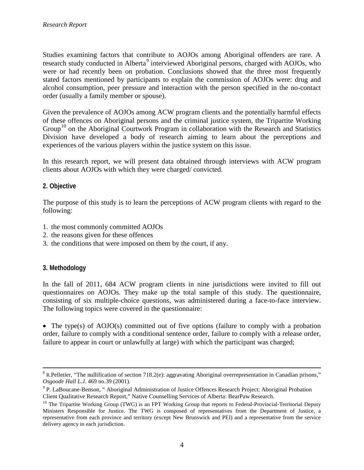Studies examining factors that contribute to AOJOs among Aboriginal offenders are rare. A research study conducted in Alberta<sup>[9](#page-3-7)</sup> interviewed Aboriginal persons, charged with AOJOs, who were or had recently been on probation. Conclusions showed that the three most frequently stated factors mentioned by participants to explain the commission of AOJOs were: drug and alcohol consumption, peer pressure and interaction with the person specified in the no-contact order (usually a family member or spouse).

Given the prevalence of AOJOs among ACW program clients and the potentially harmful effects of these offences on Aboriginal persons and the criminal justice system, the Tripartite Working Group<sup>[10](#page-4-0)</sup> on the Aboriginal Courtwork Program in collaboration with the Research and Statistics Division have developed a body of research aiming to learn about the perceptions and experiences of the various players within the justice system on this issue.

In this research report, we will present data obtained through interviews with ACW program clients about AOJOs with which they were charged/ convicted.

## **2. Objective**

The purpose of this study is to learn the perceptions of ACW program clients with regard to the following:

- 1. the most commonly committed AOJOs
- 2. the reasons given for these offences
- 3. the conditions that were imposed on them by the court, if any.

## **3. Methodology**

In the fall of 2011, 684 ACW program clients in nine jurisdictions were invited to fill out questionnaires on AOJOs. They make up the total sample of this study. The questionnaire, consisting of six multiple-choice questions, was administered during a face-to-face interview. The following topics were covered in the questionnaire:

• The type(s) of AOJO(s) committed out of five options (failure to comply with a probation order, failure to comply with a conditional sentence order, failure to comply with a release order, failure to appear in court or unlawfully at large) with which the participant was charged;

 $8$  R.Pelletier, "The nullification of section 718.2(e): aggravating Aboriginal overrepresentation in Canadian prisons," *Osgoode Hall L.J*. 469 no.39 (2001).

<sup>9</sup> P. LaBoucane-Benson, " Aboriginal Administration of Justice Offences Research Project: Aboriginal Probation Client Qualitative Research Report," Native Counselling Services of Alberta: BearPaw Research.

<span id="page-4-1"></span><span id="page-4-0"></span> $10$  The Tripartite Working Group (TWG) is an FPT Working Group that reports to Federal-Provincial-Territorial Deputy Ministers Responsible for Justice. The TWG is composed of representatives from the Department of Justice, a representative from each province and territory (except New Brunswick and PEI) and a representative from the service delivery agency in each jurisdiction.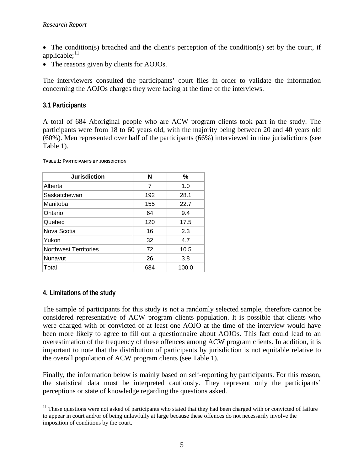• The condition(s) breached and the client's perception of the condition(s) set by the court, if applicable; $^{11}$  $^{11}$  $^{11}$ 

• The reasons given by clients for AOJOs.

The interviewers consulted the participants' court files in order to validate the information concerning the AOJOs charges they were facing at the time of the interviews.

## **3.1 Participants**

A total of 684 Aboriginal people who are ACW program clients took part in the study. The participants were from 18 to 60 years old, with the majority being between 20 and 40 years old (60%). Men represented over half of the participants (66%) interviewed in nine jurisdictions (see Table 1).

#### **TABLE 1: PARTICIPANTS BY JURISDICTION**

| <b>Jurisdiction</b>          | N   | %     |
|------------------------------|-----|-------|
| Alberta                      | 7   | 1.0   |
| Saskatchewan                 | 192 | 28.1  |
| Manitoba                     | 155 | 22.7  |
| Ontario                      | 64  | 9.4   |
| Quebec                       | 120 | 17.5  |
| Nova Scotia                  | 16  | 2.3   |
| Yukon                        | 32  | 4.7   |
| <b>Northwest Territories</b> | 72  | 10.5  |
| Nunavut                      | 26  | 3.8   |
| Total                        | 684 | 100.0 |

## **4. Limitations of the study**

The sample of participants for this study is not a randomly selected sample, therefore cannot be considered representative of ACW program clients population. It is possible that clients who were charged with or convicted of at least one AOJO at the time of the interview would have been more likely to agree to fill out a questionnaire about AOJOs. This fact could lead to an overestimation of the frequency of these offences among ACW program clients. In addition, it is important to note that the distribution of participants by jurisdiction is not equitable relative to the overall population of ACW program clients (see Table 1).

Finally, the information below is mainly based on self-reporting by participants. For this reason, the statistical data must be interpreted cautiously. They represent only the participants' perceptions or state of knowledge regarding the questions asked.

<span id="page-5-0"></span> $11$  These questions were not asked of participants who stated that they had been charged with or convicted of failure to appear in court and/or of being unlawfully at large because these offences do not necessarily involve the imposition of conditions by the court.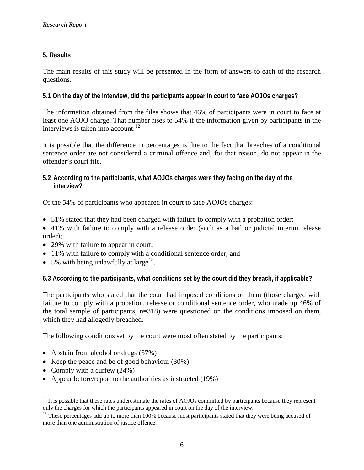## **5. Results**

The main results of this study will be presented in the form of answers to each of the research questions.

## **5.1 On the day of the interview, did the participants appear in court to face AOJOs charges?**

The information obtained from the files shows that 46% of participants were in court to face at least one AOJO charge. That number rises to 54% if the information given by participants in the interviews is taken into account.<sup>[12](#page-5-0)</sup>

It is possible that the difference in percentages is due to the fact that breaches of a conditional sentence order are not considered a criminal offence and, for that reason, do not appear in the offender's court file.

**5.2 According to the participants, what AOJOs charges were they facing on the day of the interview?**

Of the 54% of participants who appeared in court to face AOJOs charges:

- 51% stated that they had been charged with failure to comply with a probation order;
- 41% with failure to comply with a release order (such as a bail or judicial interim release order);
- 29% with failure to appear in court;
- 11% with failure to comply with a conditional sentence order; and
- 5% with being unlawfully at large<sup>[13](#page-6-0)</sup>.

**5.3 According to the participants, what conditions set by the court did they breach, if applicable?** 

The participants who stated that the court had imposed conditions on them (those charged with failure to comply with a probation, release or conditional sentence order, who made up 46% of the total sample of participants, n=318) were questioned on the conditions imposed on them, which they had allegedly breached.

The following conditions set by the court were most often stated by the participants:

- Abstain from alcohol or drugs (57%)
- Keep the peace and be of good behaviour (30%)
- Comply with a curfew  $(24%)$
- Appear before/report to the authorities as instructed (19%)

 $12$  It is possible that these rates underestimate the rates of AOJOs committed by participants because they represent only the charges for which the participants appeared in court on the day of the interview.

<span id="page-6-1"></span><span id="page-6-0"></span><sup>&</sup>lt;sup>13</sup> These percentages add up to more than 100% because most participants stated that they were being accused of more than one administration of justice offence.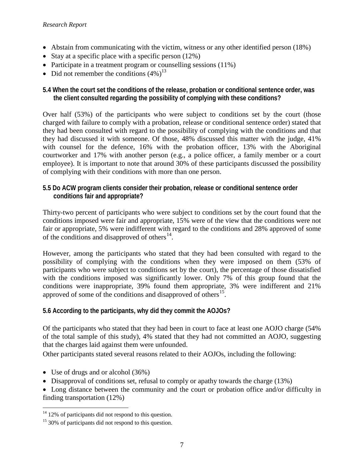- Abstain from communicating with the victim, witness or any other identified person (18%)
- Stay at a specific place with a specific person (12%)
- Participate in a treatment program or counselling sessions (11%)
- Did not remember the conditions  $(4\%)^{13}$

## **5.4 When the court set the conditions of the release, probation or conditional sentence order, was the client consulted regarding the possibility of complying with these conditions?**

Over half (53%) of the participants who were subject to conditions set by the court (those charged with failure to comply with a probation, release or conditional sentence order) stated that they had been consulted with regard to the possibility of complying with the conditions and that they had discussed it with someone. Of those, 48% discussed this matter with the judge, 41% with counsel for the defence, 16% with the probation officer, 13% with the Aboriginal courtworker and 17% with another person (e.g., a police officer, a family member or a court employee). It is important to note that around 30% of these participants discussed the possibility of complying with their conditions with more than one person.

## **5.5 Do ACW program clients consider their probation, release or conditional sentence order conditions fair and appropriate?**

Thirty-two percent of participants who were subject to conditions set by the court found that the conditions imposed were fair and appropriate, 15% were of the view that the conditions were not fair or appropriate, 5% were indifferent with regard to the conditions and 28% approved of some of the conditions and disapproved of others<sup>14</sup>.

However, among the participants who stated that they had been consulted with regard to the possibility of complying with the conditions when they were imposed on them (53% of participants who were subject to conditions set by the court), the percentage of those dissatisfied with the conditions imposed was significantly lower. Only 7% of this group found that the conditions were inappropriate, 39% found them appropriate, 3% were indifferent and 21% approved of some of the conditions and disapproved of others<sup>15</sup>.

## **5.6 According to the participants, why did they commit the AOJOs?**

Of the participants who stated that they had been in court to face at least one AOJO charge (54% of the total sample of this study), 4% stated that they had not committed an AOJO, suggesting that the charges laid against them were unfounded.

Other participants stated several reasons related to their AOJOs, including the following:

- Use of drugs and or alcohol (36%)
- Disapproval of conditions set, refusal to comply or apathy towards the charge (13%)

• Long distance between the community and the court or probation office and/or difficulty in finding transportation (12%)

 $14$  12% of participants did not respond to this question.

<span id="page-7-0"></span><sup>&</sup>lt;sup>15</sup> 30% of participants did not respond to this question.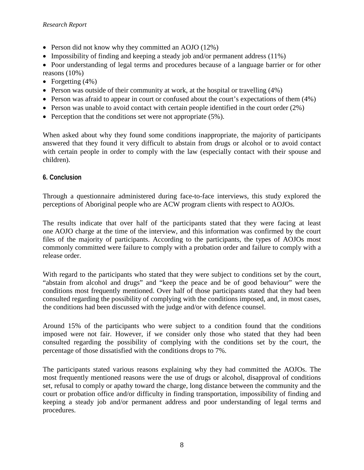- Person did not know why they committed an AOJO (12%)
- Impossibility of finding and keeping a steady job and/or permanent address (11%)
- Poor understanding of legal terms and procedures because of a language barrier or for other reasons (10%)
- Forgetting  $(4\%)$
- Person was outside of their community at work, at the hospital or travelling (4%)
- Person was afraid to appear in court or confused about the court's expectations of them (4%)
- Person was unable to avoid contact with certain people identified in the court order (2%)
- Perception that the conditions set were not appropriate (5%).

When asked about why they found some conditions inappropriate, the majority of participants answered that they found it very difficult to abstain from drugs or alcohol or to avoid contact with certain people in order to comply with the law (especially contact with their spouse and children).

## **6. Conclusion**

Through a questionnaire administered during face-to-face interviews, this study explored the perceptions of Aboriginal people who are ACW program clients with respect to AOJOs.

The results indicate that over half of the participants stated that they were facing at least one AOJO charge at the time of the interview, and this information was confirmed by the court files of the majority of participants. According to the participants, the types of AOJOs most commonly committed were failure to comply with a probation order and failure to comply with a release order.

With regard to the participants who stated that they were subject to conditions set by the court, "abstain from alcohol and drugs" and "keep the peace and be of good behaviour" were the conditions most frequently mentioned. Over half of those participants stated that they had been consulted regarding the possibility of complying with the conditions imposed, and, in most cases, the conditions had been discussed with the judge and/or with defence counsel.

Around 15% of the participants who were subject to a condition found that the conditions imposed were not fair. However, if we consider only those who stated that they had been consulted regarding the possibility of complying with the conditions set by the court, the percentage of those dissatisfied with the conditions drops to 7%.

The participants stated various reasons explaining why they had committed the AOJOs. The most frequently mentioned reasons were the use of drugs or alcohol, disapproval of conditions set, refusal to comply or apathy toward the charge, long distance between the community and the court or probation office and/or difficulty in finding transportation, impossibility of finding and keeping a steady job and/or permanent address and poor understanding of legal terms and procedures.